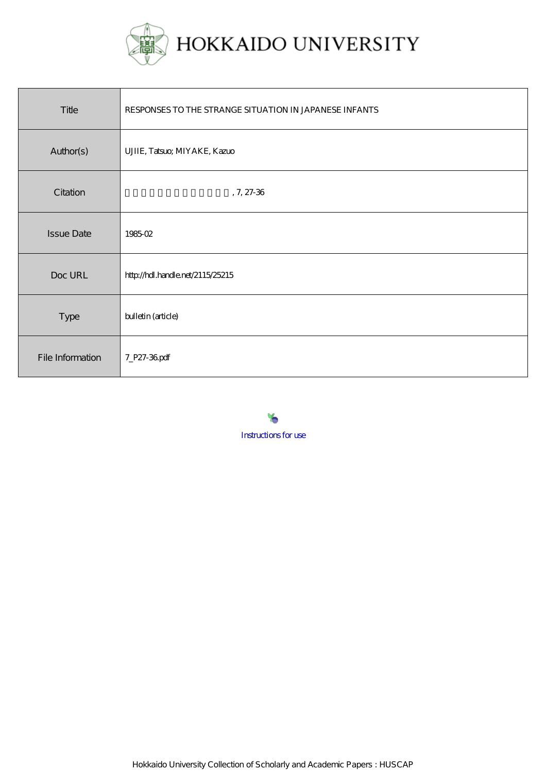

| Title             | RESPONSES TO THE STRANGE SITUATION IN JAPANESE INFANTS |
|-------------------|--------------------------------------------------------|
| Author(s)         | UJIIE, Tatsuo, MIYAKE, Kazuo                           |
| Citation          | $, 7, 27-36$                                           |
| <b>Issue Date</b> | 198502                                                 |
| Doc URL           | http://hdl.handle.net/2115/25215                       |
| Type              | bulletin (article)                                     |
| File Information  | 7_P27-36pdf                                            |

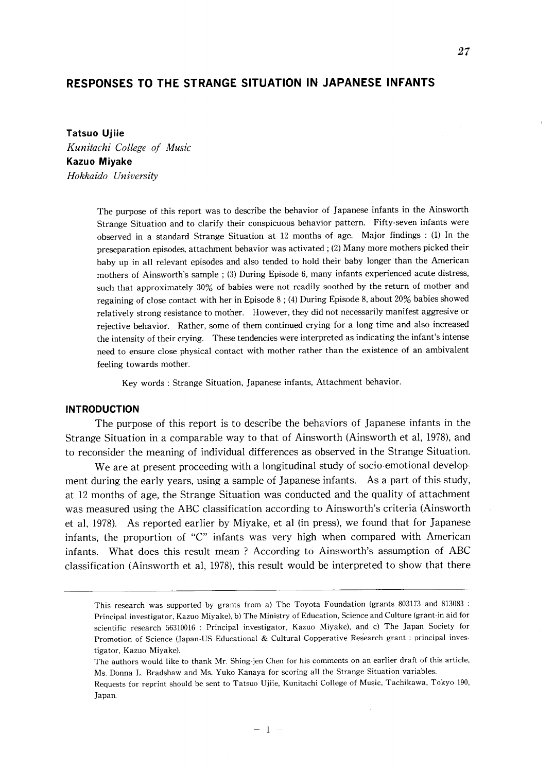# **RESPONSES TO THE STRANGE SITUATION IN JAPANESE INFANTS**

**Tatsuo Ujiie**  *Kunitachi College of Music*  **Kazuo Miyake**  *Hokkaido University* 

> The purpose of this report was to describe the behavior of Japanese infants in the Ainsworth Strange Situation and to clarify their conspicuous behavior pattern. Fifty-seven infants were observed in a standard Strange Situation at 12 months of age. Major findings : (1) In the preseparation episodes, attachment behavior was activated; (2) Many more mothers picked their baby up in all relevant episodes and also tended to hold their baby longer than the American mothers of Ainsworth's sample; (3) During Episode 6, many infants experienced acute distress, such that approximately 30% of babies were not readily soothed by the return of mother and regaining of close contact with her in Episode 8 ; (4) During Episode 8, about 20% babies showed relatively strong resistance to mother. However, they did not necessarily manifest aggresive or rejective behavior. Rather, some of them continued crying for a long time and also increased the intensity of their crying. These tendencies were interpreted as indicating the infant's intense need to ensure close physical contact with mother rather than the existence of an ambivalent feeling towards mother.

Key words: Strange Situation, Japanese infants, Attachment behavior.

# **INTRODUCTION**

The purpose of this report is to describe the behaviors of Japanese infants in the Strange Situation in a comparable way to that of Ainsworth (Ainsworth et aI, 1978), and to reconsider the meaning of individual differences as observed in the Strange Situation\_

We are at present proceeding with a longitudinal study of socio-emotional development during the early years, using a sample of Japanese infants\_ As a part of this study, at 12 months of age, the Strange Situation was conducted and the quality of attachment was measured using the ABC classification according to Ainsworth's criteria (Ainsworth et aI, 1978). As reported earlier by Miyake, et al (in press), we found that for Japanese infants, the proportion of "C" infants was very high when compared with American infants. What does this result mean? According to Ainsworth's assumption of ABC classification (Ainsworth et aI, 1978), this result would be interpreted to show that there

This research was supported by grants from a) The Toyota Foundation (grants 803173 and 813083 : Principal investigator, Kazuo Miyake), b) The Ministry of Education, Science and Culture (grant-in aid for scientific research 56310016 : Principal investigator, Kazuo Miyake), and c) The Japan Society for Promotion of Science (Japan-US Educational & Cultural Copperative Research grant: principal investigator, Kazuo Miyake).

The authors would like to thank Mr. Shing-jen Chen for his comments on an earlier draft of this article, Ms. Donna L. Bradshaw and Ms. Yuko Kanaya for scoring all the Strange Situation variables.

Requests for reprint should be sent to Tatsuo Ujiie, Kunitachi College of Music, Tachikawa, Tokyo 190, Japan.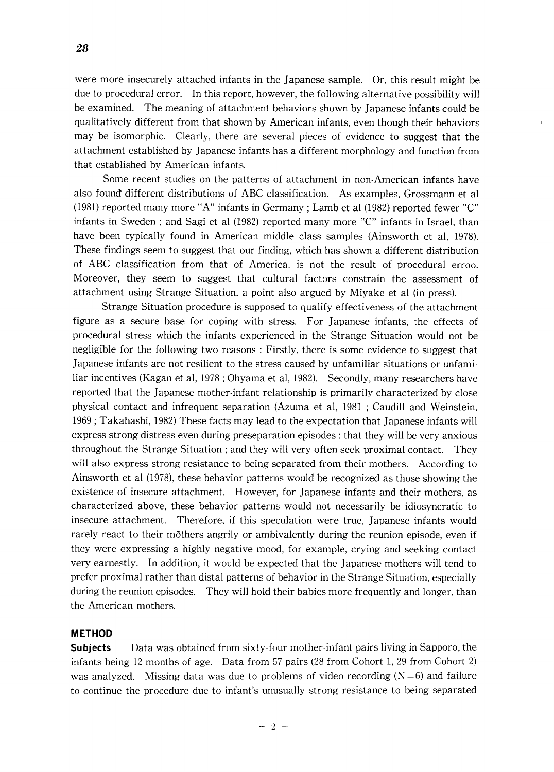were more insecurely attached infants in the Japanese sample. Or, this result might be due to procedural error. In this report, however, the following alternative possibility will be examined. The meaning of attachment behaviors shown by Japanese infants could be qualitatively different from that shown by American infants, even though their behaviors may be isomorphic. Clearly, there are several pieces of evidence to suggest that the attachment established by Japanese infants has a different morphology and function from that established by American infants.

Some recent studies on the patterns of attachment in non-American infants have also found different distributions of ABC classification. As examples, Grossmann et al (1981) reported many more "A" infants in Germany; Lamb et al (1982) reported fewer "C" infants in Sweden; and Sagi et al (1982) reported many more "C" infants in Israel, than have been typically found in American middle class samples (Ainsworth et aI, 1978). These findings seem to suggest that our finding, which has shown a different distribution of ABC classification from that of America, is not the result of procedural erroo. Moreover, they seem to suggest that cultural factors constrain the assessment of attachment using Strange Situation, a point also argued by Miyake et al (in press).

Strange Situation procedure is supposed to qualify effectiveness of the attachment figure as a secure base for coping with stress. For Japanese infants, the effects of procedural stress which the infants experienced in the Strange Situation would not be negligible for the following two reasons: Firstly, there is some evidence to suggest that Japanese infants are not resilient to the stress caused by unfamiliar situations or unfamiliar incentives (Kagan et aI, 1978 ; Ohyama et aI, 1982). Secondly, many researchers have reported that the Japanese mother-infant relationship is primarily characterized by close physical contact and infrequent separation (Azuma et aI, 1981 ; Caudill and Weinstein, 1969; Takahashi, 1982) These facts may lead to the expectation that Japanese infants will express strong distress even during preseparation episodes: that they will be very anxious throughout the Strange Situation; and they will very often seek proximal contact. They will also express strong resistance to being separated from their mothers. According to Ainsworth et al (1978), these behavior patterns would be recognized as those showing the existence of insecure attachment. However, for Japanese infants and their mothers, as characterized above, these behavior patterns would not necessarily be idiosyncratic to insecure attachment. Therefore, if this speculation were true, Japanese infants would rarely react to their mothers angrily or ambivalently during the reunion episode, even if they were expressing a highly negative mood, for example, crying and seeking contact very earnestly. In addition, it would be expected that the Japanese mothers will tend to prefer proximal rather than distal patterns of behavior in the Strange Situation, especially during the reunion episodes. They will hold their babies more frequently and longer, than the American mothers.

# **METHOD**

**Subjects** Data was obtained from sixty-four mother-infant pairs living in Sapporo, the infants being 12 months of age. Data from 57 pairs (28 from Cohort 1, 29 from Cohort 2) was analyzed. Missing data was due to problems of video recording  $(N=6)$  and failure to continue the procedure due to infant's unusually strong resistance to being separated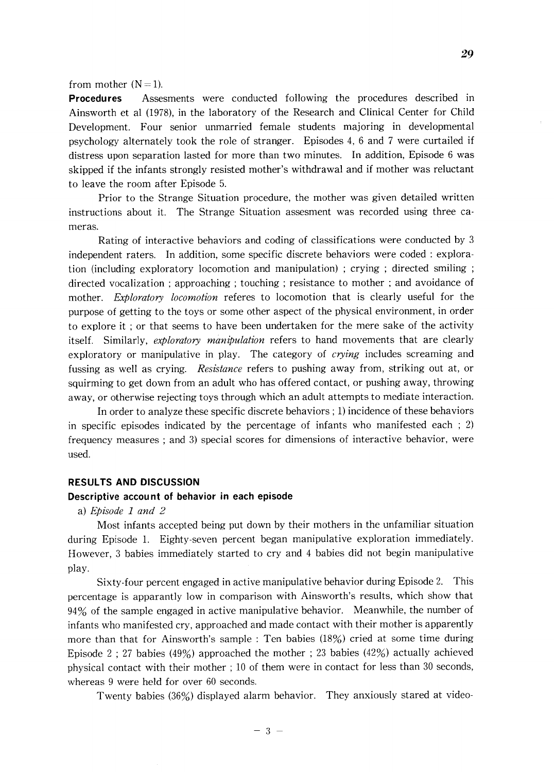### from mother  $(N=1)$ .

**Procedures** Assesments were conducted following the procedures described in Ainsworth et al (1978), in the laboratory of the Research and Clinical Center for Child Development. Four senior unmarried female students majoring in developmental psychology alternately took the role of stranger. Episodes 4, 6 and 7 were curtailed if distress upon separation lasted for more than two minutes. **In** addition, Episode 6 was skipped if the infants strongly resisted mother's withdrawal and if mother was reluctant to leave the room after Episode 5.

Prior to the Strange Situation procedure, the mother was given detailed written instructions about it. The Strange Situation assesment was recorded using three cameras.

Rating of interactive behaviors and coding of classifications were conducted by 3 independent raters. **In** addition, some specific discrete behaviors were coded: exploration (including exploratory locomotion and manipulation) ; crying ; directed smiling ; directed vocalization; approaching ; touching; resistance to mother ; and avoidance of mother. *Exploratory locomotion* referes to locomotion that is clearly useful for the purpose of getting to the toys or some other aspect of the physical environment, in order to explore it ; or that seems to have been undertaken for the mere sake of the activity itself. Similarly, *exploratory manipulation* refers to hand movements that are clearly exploratory or manipulative in play. The category of *crying* includes screaming and fussing as well as crying. *Resistance* refers to pushing away from, striking out at, or squirming to get down from an adult who has offered contact, or pushing away, throwing away, or otherwise rejecting toys through which an adult attempts to mediate interaction.

**In** order to analyze these specific discrete behaviors; 1) incidence of these behaviors in specific episodes indicated by the percentage of infants who manifested each ; 2) frequency measures; and 3) special scores for dimensions of interactive behavior, were used.

# **RESULTS AND DISCUSSION**

# **Descriptive accou nt of behavior in each episode**

#### a) *Episode* 1 *and 2*

Most infants accepted being put down by their mothers in the unfamiliar situation during Episode 1. Eighty-seven percent began manipulative exploration immediately. However, 3 babies immediately started to cry and 4 babies did not begin manipulative play.

Sixty-four percent engaged in active manipulative behavior during Episode 2. This percentage is apparantly low in comparison with Ainsworth's results, which show that 94% of the sample engaged in active manipulative behavior. Meanwhile, the number of infants who manifested cry, approached and made contact with their mother is apparently more than that for Ainsworth's sample: Ten babies (18%) cried at some time during Episode 2 ; 27 babies (49%) approached the mother; 23 babies (42%) actually achieved physical contact with their mother; 10 of them were in contact for less than 30 seconds, whereas 9 were held for over 60 seconds.

Twenty babies (36%) displayed alarm behavior. They anxiously stared at video-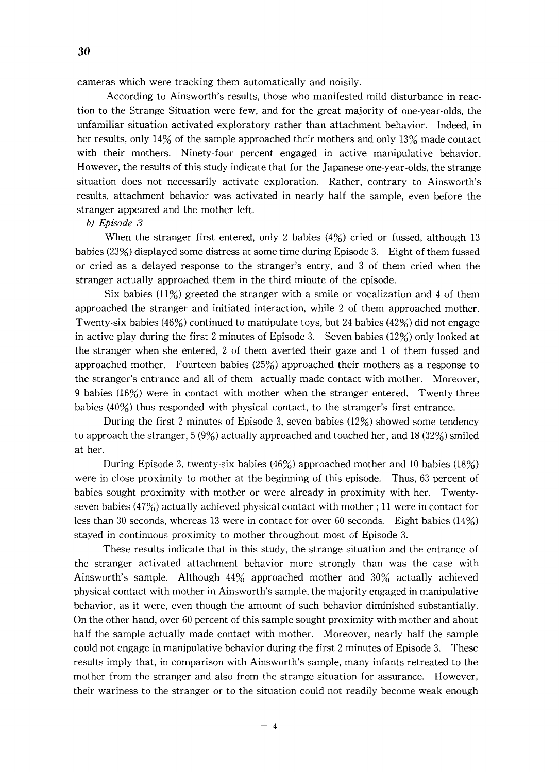cameras which were tracking them automatically and noisily.

According to Ainsworth's results, those who manifested mild disturbance in reaction to the Strange Situation were few, and for the great majority of one-year-olds, the unfamiliar situation activated exploratory rather than attachment behavior. Indeed, in her results, only 14% of the sample approached their mothers and only 13% made contact with their mothers. Ninety-four percent engaged in active manipulative behavior. However, the results of this study indicate that for the Japanese one-year-olds, the strange situation does not necessarily activate exploration. Rather, contrary to Ainsworth's results, attachment behavior was activated in nearly half the sample, even before the stranger appeared and the mother left.

# *b) Episode 3*

When the stranger first entered, only 2 babies (4%) cried or fussed, although 13 babies (23%) displayed some distress at some time during Episode 3. Eight of them fussed or cried as a delayed response to the stranger's entry, and 3 of them cried when the stranger actually approached them in the third minute of the episode.

Six babies  $(11\%)$  greeted the stranger with a smile or vocalization and 4 of them approached the stranger and initiated interaction, while 2 of them approached mother. Twenty-six babies (46%) continued to manipulate toys, but 24 babies (42%) did not engage in active play during the first 2 minutes of Episode 3. Seven babies (12%) only looked at the stranger when she entered, 2 of them averted their gaze and 1 of them fussed and approached mother. Fourteen babies (25%) approached their mothers as a response to the stranger's entrance and all of them actually made contact with mother. Moreover, 9 babies (16%) were in contact with mother when the stranger entered. Twenty-three babies (40%) thus responded with physical contact, to the stranger's first entrance.

During the first 2 minutes of Episode 3, seven babies (12%) showed some tendency to approach the stranger,  $5(9%)$  actually approached and touched her, and 18 (32%) smiled at her.

During Episode 3, twenty-six babies (46%) approached mother and 10 babies (18%) were in close proximity to mother at the beginning of this episode. Thus, 63 percent of babies sought proximity with mother or were already in proximity with her. Twentyseven babies (47%) actually achieved physical contact with mother; 11 were in contact for less than 30 seconds, whereas 13 were in contact for over 60 seconds. Eight babies (14%) stayed in continuous proximity to mother throughout most of Episode 3.

These results indicate that in this study, the strange situation and the entrance of the stranger activated attachment behavior more strongly than was the case with Ainsworth's sample. Although 44% approached mother and 30% actually achieved physical contact with mother in Ainsworth's sample, the majority engaged in manipulative behavior, as it were, even though the amount of such behavior diminished substantially. On the other hand, over 60 percent of this sample sought proximity with mother and about half the sample actually made contact with mother. Moreover, nearly half the sample could not engage in manipulative behavior during the first 2 minutes of Episode 3. These results imply that, in comparison with Ainsworth's sample, many infants retreated to the mother from the stranger and also from the strange situation for assurance. However, their wariness to the stranger or to the situation could not readily become weak enough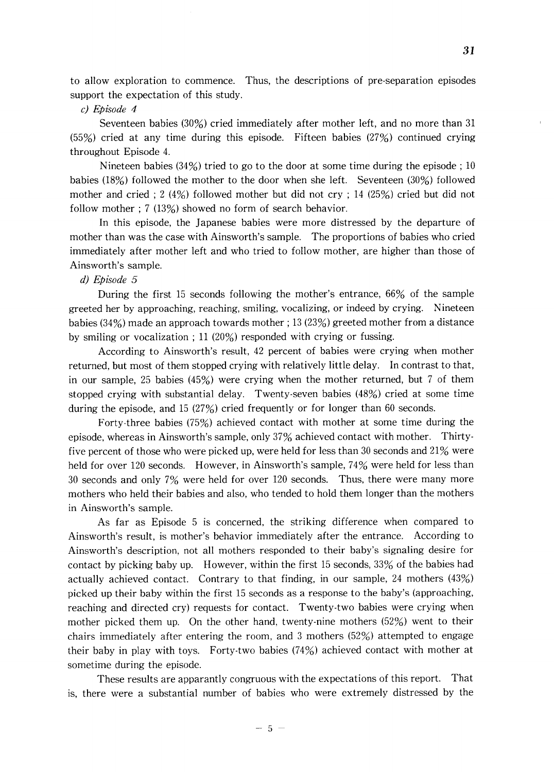to allow exploration to commence. Thus, the descriptions of pre-separation episodes support the expectation of this study.

## *c) Episode 4*

Seventeen babies (30%) cried immediately after mother left, and no more than 31 (55%) cried at any time during this episode. Fifteen babies (27%) continued crying throughout Episode 4.

Nineteen babies (34%) tried to go to the door at some time during the episode; 10 babies (18%) followed the mother to the door when she left. Seventeen (30%) followed mother and cried; 2 (4%) followed mother but did not cry; 14 (25%) cried but did not follow mother; 7 (13%) showed no form of search behavior.

In this episode, the Japanese babies were more distressed by the departure of mother than was the case with Ainsworth's sample. The proportions of babies who cried immediately after mother left and who tried to follow mother, are higher than those of Ainsworth's sample.

# *d) Episode 5*

During the first 15 seconds following the mother's entrance, 66% of the sample greeted her by approaching, reaching, smiling, vocalizing, or indeed by crying. Nineteen babies (34%) made an approach towards mother; 13 (23%) greeted mother from a distance by smiling or vocalization; 11 (20%) responded with crying or fussing.

According to Ainsworth's result, 42 percent of babies were crying when mother returned, but most of them stopped crying with relatively little delay. In contrast to that, in our sample, 25 babies (45%) were crying when the mother returned, but 7 of them stopped crying with substantial delay. Twenty-seven babies (48%) cried at some time during the episode, and 15 (27%) cried frequently or for longer than 60 seconds.

Forty-three babies (75%) achieved contact with mother at some time during the episode, whereas in Ainsworth's sample, only 37% achieved contact with mother. Thirtyfive percent of those who were picked up, were held for less than 30 seconds and 21% were held for over 120 seconds. However, in Ainsworth's sample, 74% were held for less than 30 seconds and only 7% were held for over 120 seconds. Thus, there were many more mothers who held their babies and also, who tended to hold them longer than the mothers in Ainsworth's sample.

As far as Episode 5 is concerned, the striking difference when compared to Ainsworth's result, is mother's behavior immediately after the entrance. According to Ainsworth's description, not all mothers responded to their baby's signaling desire for contact by picking baby up. However, within the first 15 seconds, 33% of the babies had actually achieved contact. Contrary to that finding, in our sample, 24 mothers (43%) picked up their baby within the first 15 seconds as a response to the baby's (approaching, reaching and directed cry) requests for contact. Twenty-two babies were crying when mother picked them up. On the other hand, twenty-nine mothers (52%) went to their chairs immediately after entering the room, and 3 mothers (52%) attempted to engage their baby in play with toys. Forty-two babies (74%) achieved contact with mother at sometime during the episode.

These results are apparantly congruous with the expectations of this report. That is, there were a substantial number of babies who were extremely distressed by the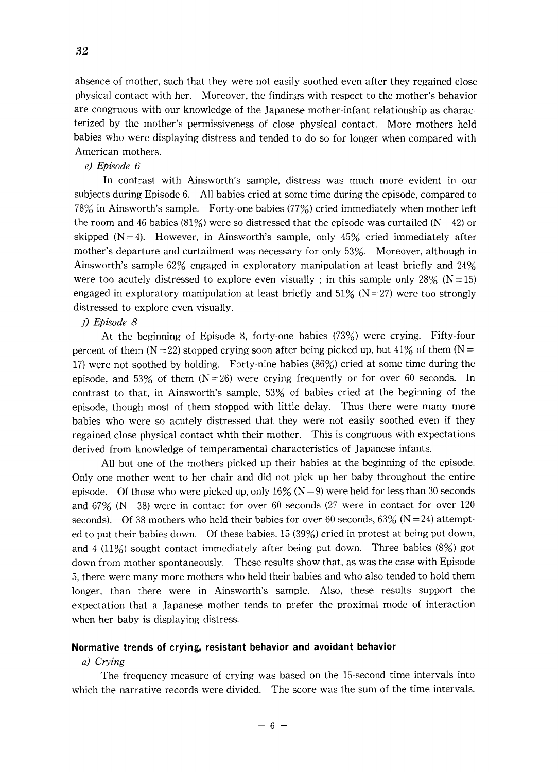absence of mother, such that they were not easily soothed even after they regained close physical contact with her. Moreover, the findings with respect to the mother's behavior are congruous with our knowledge of the Japanese mother-infant relationship as characterized by the mother's permissiveness of close physical contact. More mothers held babies who were displaying distress and tended to do so for longer when compared with American mothers.

# e) *Episode 6*

**In** contrast with Ainsworth's sample, distress was much more evident in our subjects during Episode 6. All babies cried at some time during the episode, compared to 78% in Ainsworth's sample. Forty-one babies (77%) cried immediately when mother left the room and 46 babies (81%) were so distressed that the episode was curtailed ( $N = 42$ ) or skipped  $(N=4)$ . However, in Ainsworth's sample, only 45% cried immediately after mother's departure and curtailment was necessary for only 53%. Moreover, although in Ainsworth's sample 62% engaged in exploratory manipulation at least briefly and 24% were too acutely distressed to explore even visually; in this sample only 28% ( $N = 15$ ) engaged in exploratory manipulation at least briefly and  $51\%$  (N = 27) were too strongly distressed to explore even visually.

# f) *Episode 8*

At the beginning of Episode 8, forty-one babies (73%) were crying. Fifty-four percent of them ( $N = 22$ ) stopped crying soon after being picked up, but 41% of them ( $N =$ 17) were not soothed by holding. Forty-nine babies (86%) cried at some time during the episode, and 53% of them  $(N = 26)$  were crying frequently or for over 60 seconds. In contrast to that, in Ainsworth's sample, 53% of babies cried at the beginning of the episode, though most of them stopped with little delay. Thus there were many more babies who were so acutely distressed that they were not easily soothed even if they regained close physical contact whth their mother. This is congruous with expectations derived from knowledge of temperamental characteristics of Japanese infants.

All but one of the mothers picked up their babies at the beginning of the episode. Only one mother went to her chair and did not pick up her baby throughout the entire episode. Of those who were picked up, only  $16\%$  (N = 9) were held for less than 30 seconds and  $67\%$  (N = 38) were in contact for over 60 seconds (27 were in contact for over 120 seconds). Of 38 mothers who held their babies for over 60 seconds,  $63\%$  (N = 24) attempted to put their babies down. Of these babies, 15 (39%) cried in protest at being put down, and 4 (11%) sought contact immediately after being put down. Three babies (8%) got down from mother spontaneously. These results show that, as was the case with Episode 5, there were many more mothers who held their babies and who also tended to hold them longer, than there were in Ainsworth's sample. Also, these results support the expectation that a Japanese mother tends to prefer the proximal mode of interaction when her baby is displaying distress.

### **Normative trends of crying, resistant behavior and avoidant behavior**

### *a) Crying*

The frequency measure of crying was based on the 15-second time intervals into which the narrative records were divided. The score was the sum of the time intervals.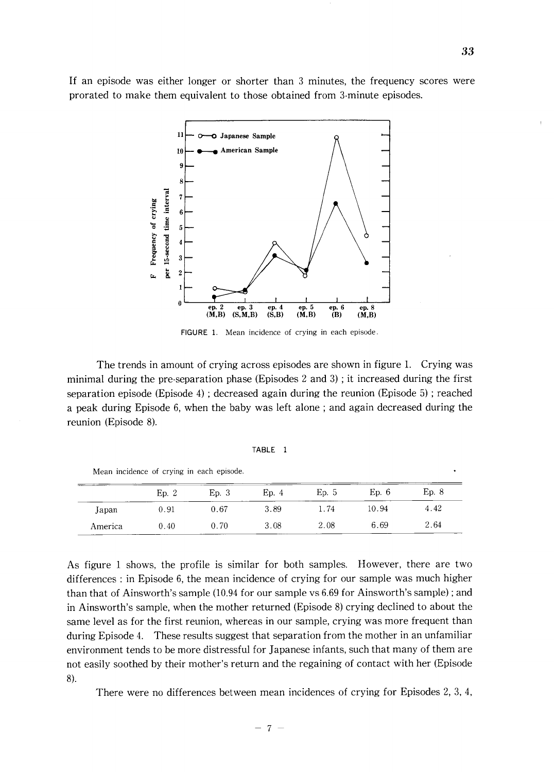If an episode was either longer or shorter than 3 minutes, the frequency scores were prorated to make them equivalent to those obtained from 3-minute episodes.



FIGURE 1. Mean incidence of crying in each episode.

The trends in amount of crying across episodes are shown in figure 1. Crying was minimal during the pre-separation phase (Episodes 2 and 3) ; it increased during the first separation episode (Episode 4) ; decreased again during the reunion (Episode 5) ; reached a peak during Episode 6, when the baby was left alone; and again decreased during the reunion (Episode 8).

|  | АR<br>л<br>Ш |  |  |
|--|--------------|--|--|
|--|--------------|--|--|

| Mean incidence of crying in each episode. |  |  |  |  |  |  |  |
|-------------------------------------------|--|--|--|--|--|--|--|
|-------------------------------------------|--|--|--|--|--|--|--|

|         | Ep. 2 | Ep.3 | Ep. 4 | Ep.5 | Ep. 6 | Ep. 8 |
|---------|-------|------|-------|------|-------|-------|
| Japan   | 0.91  | 0.67 | 3.89  | 1.74 | 10.94 | 4.42  |
| America | 0.40  | 0.70 | 3.08  | 2.08 | 6.69  | 2.64  |

As figure 1 shows, the profile is similar for both samples. However, there are two differences: in Episode 6, the mean incidence of crying for our sample was much higher than that of Ainsworth's sample (10.94 for our sample vs 6.69 for Ainsworth's sample) ; and in Ainsworth's sample, when the mother returned (Episode 8) crying declined to about the same level as for the first reunion, whereas in our sample, crying was more frequent than during Episode 4. These results suggest that separation from the mother in an unfamiliar environment tends to be more distressful for Japanese infants, such that many of them are not easily soothed by their mother's return and the regaining of contact with her (Episode 8).

There were no differences between mean incidences of crying for Episodes 2, 3, 4,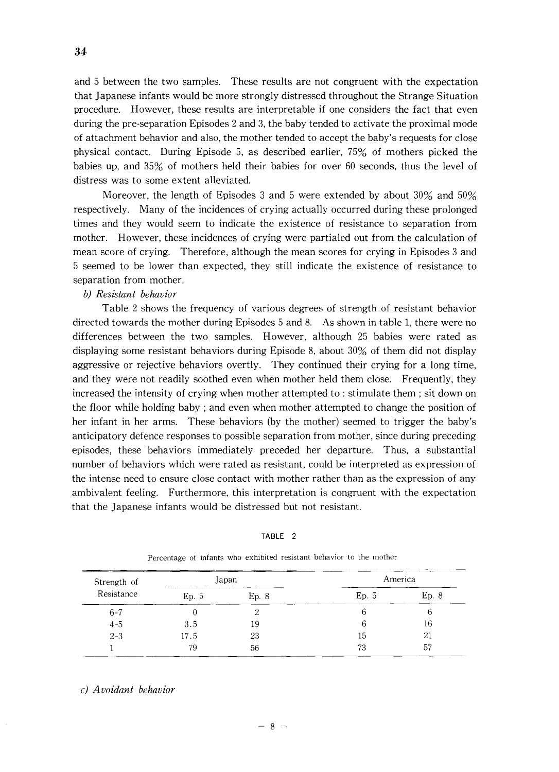and 5 between the two samples. These results are not congruent with the expectation that Japanese infants would be more strongly distressed throughout the Strange Situation procedure. However, these results are interpretable if one considers the fact that even during the pre-separation Episodes 2 and 3, the baby tended to activate the proximal mode of attachment behavior and also, the mother tended to accept the baby's requests for close physical contact. During Episode 5, as described earlier, 75% of mothers picked the babies up, and 35% of mothers held their babies for over 60 seconds, thus the level of distress was to some extent alleviated.

Moreover, the length of Episodes 3 and 5 were extended by about 30% and 50% respectively. Many of the incidences of crying actually occurred during these prolonged times and they would seem to indicate the existence of resistance to separation from mother. However, these incidences of crying were partialed out from the calculation of mean score of crying. Therefore, although the mean scores for crying in Episodes 3 and 5 seemed to be lower than expected, they still indicate the existence of resistance to separation from mother.

# *b) Resistant behavior*

Table 2 shows the frequency of various degrees of strength of resistant behavior directed towards the mother during Episodes 5 and 8. As shown in table 1, there were no differences between the two samples. However, although 25 babies were rated as displaying some resistant behaviors during Episode 8, about 30% of them did not display aggressive or rejective behaviors overtly. They continued their crying for a long time, and they were not readily soothed even when mother held them close. Frequently, they increased the intensity of crying when mother attempted to : stimulate them; sit down on the floor while holding baby; and even when mother attempted to change the position of her infant in her arms. These behaviors (by the mother) seemed to trigger the baby's anticipatory defence responses to possible separation from mother, since during preceding episodes, these behaviors immediately preceded her departure. Thus, a substantial number of behaviors which were rated as resistant, could be interpreted as expression of the intense need to ensure close contact with mother rather than as the expression of any ambivalent feeling. Furthermore, this interpretation is congruent with the expectation that the Japanese infants would be distressed but not resistant.

| ABI F |  |
|-------|--|
|-------|--|

| Strength of | Japan |       | America |       |  |
|-------------|-------|-------|---------|-------|--|
| Resistance  | Ep. 5 | Ep. 8 | Ep. 5   | Ep. 8 |  |
| $6 - 7$     | 0     | 2     | 6       | O     |  |
| $4 - 5$     | 3.5   | 19    | 6       | 16    |  |
| $2 - 3$     | 17.5  | 23    | 15      | 21    |  |
|             | 79    | 56    | 73      | 57    |  |

Percentage of infants who exhibited resistant behavior to the mother

#### *c) Avoidant behavior*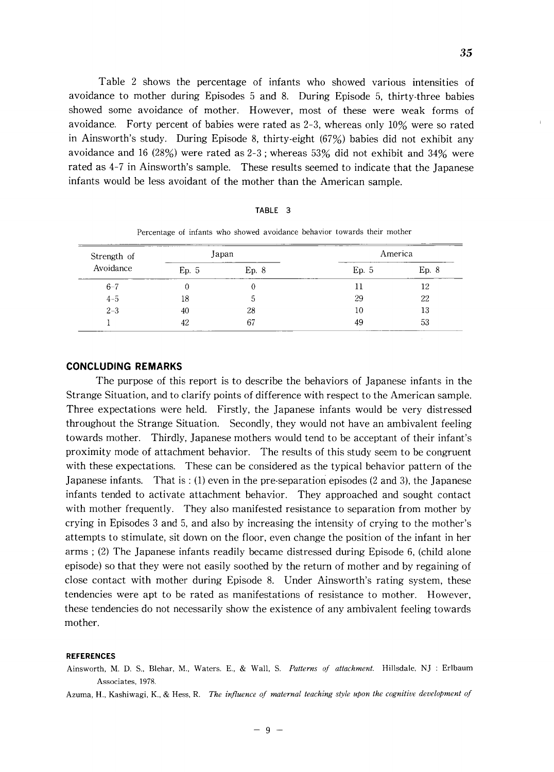Table 2 shows the percentage of infants who showed various intensities of avoidance to mother during Episodes 5 and 8. During Episode 5, thirty-three babies showed some avoidance of mother. However, most of these were weak forms of avoidance. Forty percent of babies were rated as 2-3, whereas only 10% were so rated in Ainsworth's study. During Episode 8, thirty-eight (67%) babies did not exhibit any avoidance and 16 (28%) were rated as  $2-3$ ; whereas  $53\%$  did not exhibit and  $34\%$  were rated as 4-7 in Ainsworth's sample. These results seemed to indicate that the Japanese infants would be less avoidant of the mother than the American sample.

| ABL |  |
|-----|--|
|-----|--|

| Strength of | Japan |       |      | America |
|-------------|-------|-------|------|---------|
| Avoidance   | Ep.5  | Ep. 8 | Ep.5 | Ep. 8   |
| $6 - 7$     |       |       |      | 12      |
| $4 - 5$     | 18    | 5     | 29   | 22      |
| $2 - 3$     | 40    | 28    | 10   | 13      |
|             | 42    | 67    | 49   | -53     |

Percentage of infants who showed avoidance behavior towards their mother

#### **CONCLUDING REMARKS**

The purpose of this report is to describe the behaviors of Japanese infants in the Strange Situation, and to clarify points of difference with respect to the American sample. Three expectations were held. Firstly, the Japanese infants would be very distressed throughout the Strange Situation. Secondly, they would not have an ambivalent feeling towards mother. Thirdly, Japanese mothers would tend to be acceptant of their infant's proximity mode of attachment behavior. The results of this study seem to be congruent with these expectations. These can be considered as the typical behavior pattern of the Japanese infants. That is  $: (1)$  even in the pre-separation episodes (2 and 3), the Japanese infants tended to activate attachment behavior. They approached and sought contact with mother frequently. They also manifested resistance to separation from mother by crying in Episodes 3 and 5, and also by increasing the intensity of crying to the mother's attempts to stimulate, sit down on the floor, even change the position of the infant in her arms; (2) The Japanese infants readily became distressed during Episode 6, (child alone episode) so that they were not easily soothed by the return of mother and by regaining of close contact with mother during Episode 8. Under Ainsworth's rating system, these tendencies were apt to be rated as manifestations of resistance to mother. However, these tendencies do not necessarily show the existence of any ambivalent feeling towards mother.

#### **REFERENCES**

Ainsworth, M. D. S., Blehar, M., Waters. E., & Wall, S. Patterns of attachment. Hillsdale, NJ : Erlbaum Associates, 1978.

Azuma, H., Kashiwagi, K., & Hess, R. *The influence of maternal teaching style upon the cognitive development of*